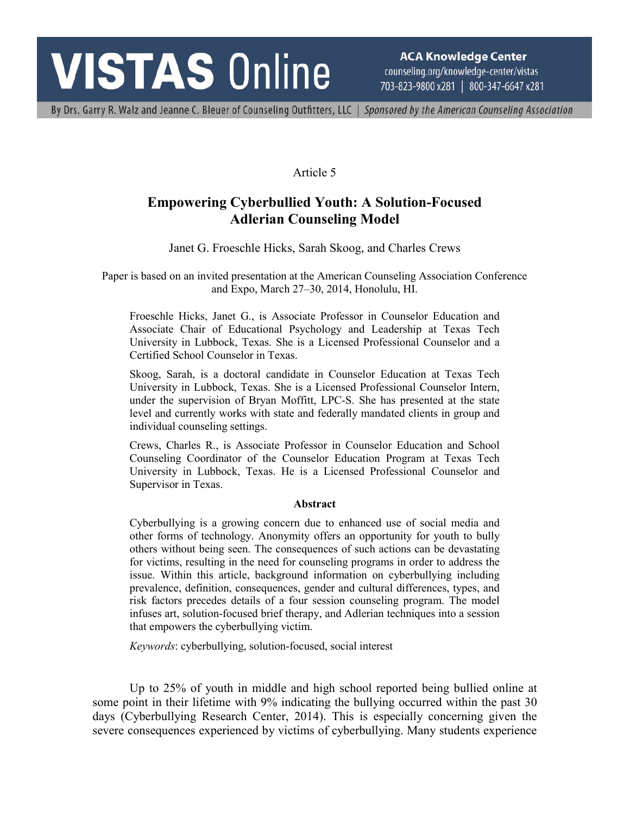# **VISTAS Online**

**ACA Knowledge Center** counseling.org/knowledge-center/vistas 703-823-9800 x281 | 800-347-6647 x281

By Drs. Garry R. Walz and Jeanne C. Bleuer of Counseling Outfitters, LLC | Sponsored by the American Counseling Association

# Article 5

# **Empowering Cyberbullied Youth: A Solution-Focused Adlerian Counseling Model**

Janet G. Froeschle Hicks, Sarah Skoog, and Charles Crews

Paper is based on an invited presentation at the American Counseling Association Conference and Expo, March 27–30, 2014, Honolulu, HI.

Froeschle Hicks, Janet G., is Associate Professor in Counselor Education and Associate Chair of Educational Psychology and Leadership at Texas Tech University in Lubbock, Texas. She is a Licensed Professional Counselor and a Certified School Counselor in Texas.

Skoog, Sarah, is a doctoral candidate in Counselor Education at Texas Tech University in Lubbock, Texas. She is a Licensed Professional Counselor Intern, under the supervision of Bryan Moffitt, LPC-S. She has presented at the state level and currently works with state and federally mandated clients in group and individual counseling settings.

Crews, Charles R., is Associate Professor in Counselor Education and School Counseling Coordinator of the Counselor Education Program at Texas Tech University in Lubbock, Texas. He is a Licensed Professional Counselor and Supervisor in Texas.

#### **Abstract**

Cyberbullying is a growing concern due to enhanced use of social media and other forms of technology. Anonymity offers an opportunity for youth to bully others without being seen. The consequences of such actions can be devastating for victims, resulting in the need for counseling programs in order to address the issue. Within this article, background information on cyberbullying including prevalence, definition, consequences, gender and cultural differences, types, and risk factors precedes details of a four session counseling program. The model infuses art, solution-focused brief therapy, and Adlerian techniques into a session that empowers the cyberbullying victim.

*Keywords*: cyberbullying, solution-focused, social interest

Up to 25% of youth in middle and high school reported being bullied online at some point in their lifetime with 9% indicating the bullying occurred within the past 30 days (Cyberbullying Research Center, 2014). This is especially concerning given the severe consequences experienced by victims of cyberbullying. Many students experience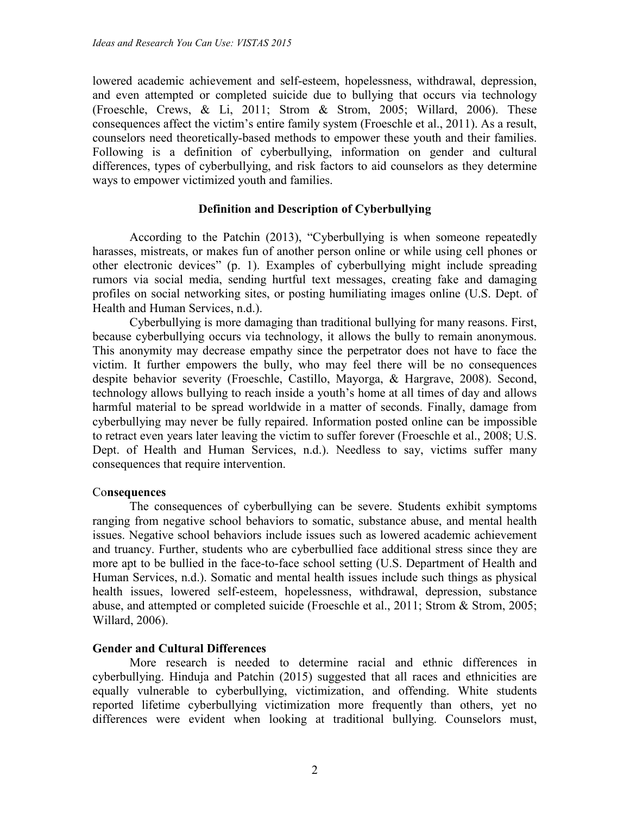lowered academic achievement and self-esteem, hopelessness, withdrawal, depression, and even attempted or completed suicide due to bullying that occurs via technology (Froeschle, Crews, & Li, 2011; Strom & Strom, 2005; Willard, 2006). These consequences affect the victim's entire family system (Froeschle et al., 2011). As a result, counselors need theoretically-based methods to empower these youth and their families. Following is a definition of cyberbullying, information on gender and cultural differences, types of cyberbullying, and risk factors to aid counselors as they determine ways to empower victimized youth and families.

#### **Definition and Description of Cyberbullying**

According to the Patchin (2013), "Cyberbullying is when someone repeatedly harasses, mistreats, or makes fun of another person online or while using cell phones or other electronic devices" (p. 1). Examples of cyberbullying might include spreading rumors via social media, sending hurtful text messages, creating fake and damaging profiles on social networking sites, or posting humiliating images online (U.S. Dept. of Health and Human Services, n.d.).

Cyberbullying is more damaging than traditional bullying for many reasons. First, because cyberbullying occurs via technology, it allows the bully to remain anonymous. This anonymity may decrease empathy since the perpetrator does not have to face the victim. It further empowers the bully, who may feel there will be no consequences despite behavior severity (Froeschle, Castillo, Mayorga, & Hargrave, 2008). Second, technology allows bullying to reach inside a youth's home at all times of day and allows harmful material to be spread worldwide in a matter of seconds. Finally, damage from cyberbullying may never be fully repaired. Information posted online can be impossible to retract even years later leaving the victim to suffer forever (Froeschle et al., 2008; U.S. Dept. of Health and Human Services, n.d.). Needless to say, victims suffer many consequences that require intervention.

#### Co**nsequences**

The consequences of cyberbullying can be severe. Students exhibit symptoms ranging from negative school behaviors to somatic, substance abuse, and mental health issues. Negative school behaviors include issues such as lowered academic achievement and truancy. Further, students who are cyberbullied face additional stress since they are more apt to be bullied in the face-to-face school setting (U.S. Department of Health and Human Services, n.d.). Somatic and mental health issues include such things as physical health issues, lowered self-esteem, hopelessness, withdrawal, depression, substance abuse, and attempted or completed suicide (Froeschle et al., 2011; Strom & Strom, 2005; Willard, 2006).

#### **Gender and Cultural Differences**

More research is needed to determine racial and ethnic differences in cyberbullying. Hinduja and Patchin (2015) suggested that all races and ethnicities are equally vulnerable to cyberbullying, victimization, and offending. White students reported lifetime cyberbullying victimization more frequently than others, yet no differences were evident when looking at traditional bullying. Counselors must,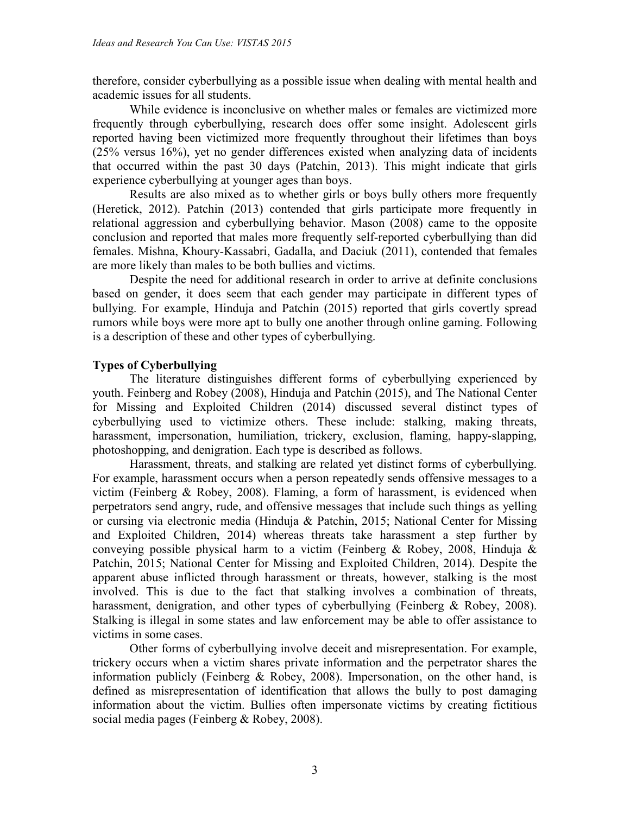therefore, consider cyberbullying as a possible issue when dealing with mental health and academic issues for all students.

While evidence is inconclusive on whether males or females are victimized more frequently through cyberbullying, research does offer some insight. Adolescent girls reported having been victimized more frequently throughout their lifetimes than boys (25% versus 16%), yet no gender differences existed when analyzing data of incidents that occurred within the past 30 days (Patchin, 2013). This might indicate that girls experience cyberbullying at younger ages than boys.

Results are also mixed as to whether girls or boys bully others more frequently (Heretick, 2012). Patchin (2013) contended that girls participate more frequently in relational aggression and cyberbullying behavior. Mason (2008) came to the opposite conclusion and reported that males more frequently self-reported cyberbullying than did females. Mishna, Khoury-Kassabri, Gadalla, and Daciuk (2011), contended that females are more likely than males to be both bullies and victims.

Despite the need for additional research in order to arrive at definite conclusions based on gender, it does seem that each gender may participate in different types of bullying. For example, Hinduja and Patchin (2015) reported that girls covertly spread rumors while boys were more apt to bully one another through online gaming. Following is a description of these and other types of cyberbullying.

## **Types of Cyberbullying**

The literature distinguishes different forms of cyberbullying experienced by youth. Feinberg and Robey (2008), Hinduja and Patchin (2015), and The National Center for Missing and Exploited Children (2014) discussed several distinct types of cyberbullying used to victimize others. These include: stalking, making threats, harassment, impersonation, humiliation, trickery, exclusion, flaming, happy-slapping, photoshopping, and denigration. Each type is described as follows.

Harassment, threats, and stalking are related yet distinct forms of cyberbullying. For example, harassment occurs when a person repeatedly sends offensive messages to a victim (Feinberg & Robey, 2008). Flaming, a form of harassment, is evidenced when perpetrators send angry, rude, and offensive messages that include such things as yelling or cursing via electronic media (Hinduja & Patchin, 2015; National Center for Missing and Exploited Children, 2014) whereas threats take harassment a step further by conveying possible physical harm to a victim (Feinberg & Robey, 2008, Hinduja & Patchin, 2015; National Center for Missing and Exploited Children, 2014). Despite the apparent abuse inflicted through harassment or threats, however, stalking is the most involved. This is due to the fact that stalking involves a combination of threats, harassment, denigration, and other types of cyberbullying (Feinberg & Robey, 2008). Stalking is illegal in some states and law enforcement may be able to offer assistance to victims in some cases.

Other forms of cyberbullying involve deceit and misrepresentation. For example, trickery occurs when a victim shares private information and the perpetrator shares the information publicly (Feinberg & Robey, 2008). Impersonation, on the other hand, is defined as misrepresentation of identification that allows the bully to post damaging information about the victim. Bullies often impersonate victims by creating fictitious social media pages (Feinberg & Robey, 2008).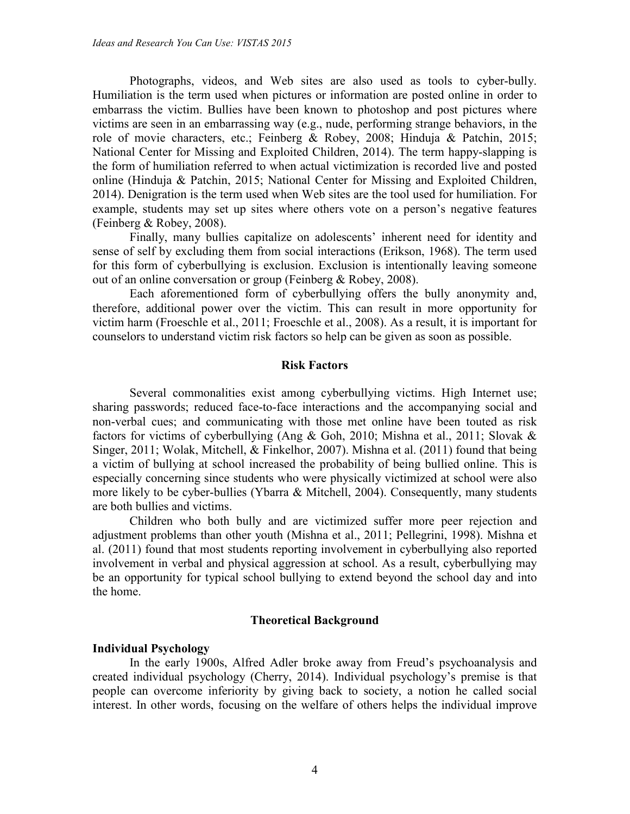Photographs, videos, and Web sites are also used as tools to cyber-bully. Humiliation is the term used when pictures or information are posted online in order to embarrass the victim. Bullies have been known to photoshop and post pictures where victims are seen in an embarrassing way (e.g., nude, performing strange behaviors, in the role of movie characters, etc.; Feinberg & Robey, 2008; Hinduja & Patchin, 2015; National Center for Missing and Exploited Children, 2014). The term happy-slapping is the form of humiliation referred to when actual victimization is recorded live and posted online (Hinduja & Patchin, 2015; National Center for Missing and Exploited Children, 2014). Denigration is the term used when Web sites are the tool used for humiliation. For example, students may set up sites where others vote on a person's negative features (Feinberg & Robey, 2008).

Finally, many bullies capitalize on adolescents' inherent need for identity and sense of self by excluding them from social interactions (Erikson, 1968). The term used for this form of cyberbullying is exclusion. Exclusion is intentionally leaving someone out of an online conversation or group (Feinberg & Robey, 2008).

Each aforementioned form of cyberbullying offers the bully anonymity and, therefore, additional power over the victim. This can result in more opportunity for victim harm (Froeschle et al., 2011; Froeschle et al., 2008). As a result, it is important for counselors to understand victim risk factors so help can be given as soon as possible.

#### **Risk Factors**

Several commonalities exist among cyberbullying victims. High Internet use; sharing passwords; reduced face-to-face interactions and the accompanying social and non-verbal cues; and communicating with those met online have been touted as risk factors for victims of cyberbullying (Ang & Goh, 2010; Mishna et al., 2011; Slovak & Singer, 2011; Wolak, Mitchell, & Finkelhor, 2007). Mishna et al. (2011) found that being a victim of bullying at school increased the probability of being bullied online. This is especially concerning since students who were physically victimized at school were also more likely to be cyber-bullies (Ybarra & Mitchell, 2004). Consequently, many students are both bullies and victims.

Children who both bully and are victimized suffer more peer rejection and adjustment problems than other youth (Mishna et al., 2011; Pellegrini, 1998). Mishna et al. (2011) found that most students reporting involvement in cyberbullying also reported involvement in verbal and physical aggression at school. As a result, cyberbullying may be an opportunity for typical school bullying to extend beyond the school day and into the home.

#### **Theoretical Background**

#### **Individual Psychology**

In the early 1900s, Alfred Adler broke away from Freud's psychoanalysis and created individual psychology (Cherry, 2014). Individual psychology's premise is that people can overcome inferiority by giving back to society, a notion he called social interest. In other words, focusing on the welfare of others helps the individual improve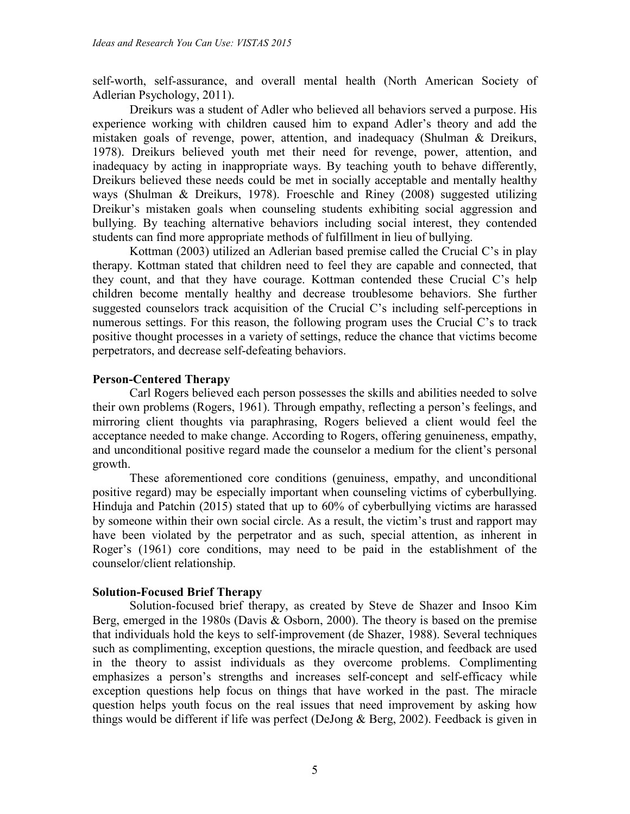self-worth, self-assurance, and overall mental health (North American Society of Adlerian Psychology, 2011).

Dreikurs was a student of Adler who believed all behaviors served a purpose. His experience working with children caused him to expand Adler's theory and add the mistaken goals of revenge, power, attention, and inadequacy (Shulman & Dreikurs, 1978). Dreikurs believed youth met their need for revenge, power, attention, and inadequacy by acting in inappropriate ways. By teaching youth to behave differently, Dreikurs believed these needs could be met in socially acceptable and mentally healthy ways (Shulman & Dreikurs, 1978). Froeschle and Riney (2008) suggested utilizing Dreikur's mistaken goals when counseling students exhibiting social aggression and bullying. By teaching alternative behaviors including social interest, they contended students can find more appropriate methods of fulfillment in lieu of bullying.

Kottman (2003) utilized an Adlerian based premise called the Crucial C's in play therapy. Kottman stated that children need to feel they are capable and connected, that they count, and that they have courage. Kottman contended these Crucial C's help children become mentally healthy and decrease troublesome behaviors. She further suggested counselors track acquisition of the Crucial C's including self-perceptions in numerous settings. For this reason, the following program uses the Crucial C's to track positive thought processes in a variety of settings, reduce the chance that victims become perpetrators, and decrease self-defeating behaviors.

### **Person-Centered Therapy**

Carl Rogers believed each person possesses the skills and abilities needed to solve their own problems (Rogers, 1961). Through empathy, reflecting a person's feelings, and mirroring client thoughts via paraphrasing, Rogers believed a client would feel the acceptance needed to make change. According to Rogers, offering genuineness, empathy, and unconditional positive regard made the counselor a medium for the client's personal growth.

These aforementioned core conditions (genuiness, empathy, and unconditional positive regard) may be especially important when counseling victims of cyberbullying. Hinduja and Patchin (2015) stated that up to 60% of cyberbullying victims are harassed by someone within their own social circle. As a result, the victim's trust and rapport may have been violated by the perpetrator and as such, special attention, as inherent in Roger's (1961) core conditions, may need to be paid in the establishment of the counselor/client relationship.

#### **Solution-Focused Brief Therapy**

Solution-focused brief therapy, as created by Steve de Shazer and Insoo Kim Berg, emerged in the 1980s (Davis & Osborn, 2000). The theory is based on the premise that individuals hold the keys to self-improvement (de Shazer, 1988). Several techniques such as complimenting, exception questions, the miracle question, and feedback are used in the theory to assist individuals as they overcome problems. Complimenting emphasizes a person's strengths and increases self-concept and self-efficacy while exception questions help focus on things that have worked in the past. The miracle question helps youth focus on the real issues that need improvement by asking how things would be different if life was perfect (DeJong & Berg, 2002). Feedback is given in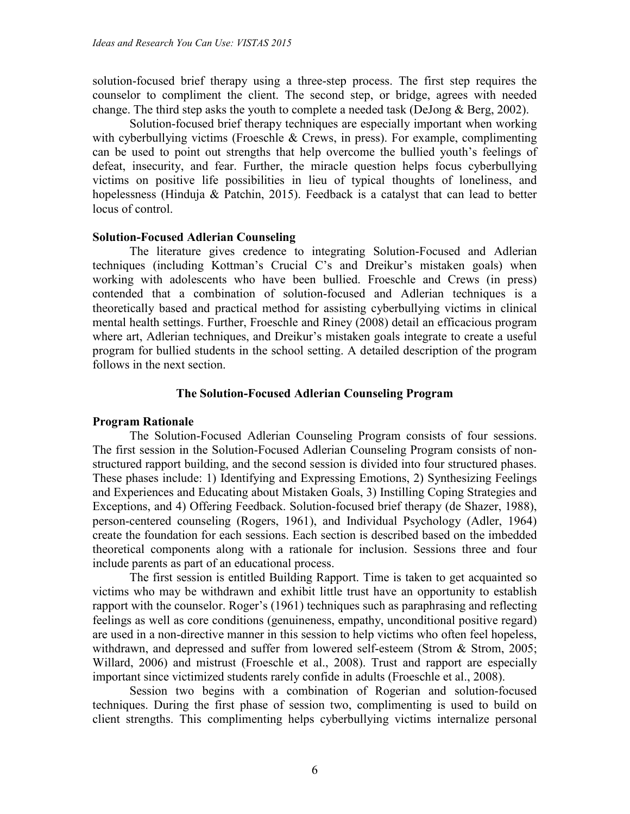solution-focused brief therapy using a three-step process. The first step requires the counselor to compliment the client. The second step, or bridge, agrees with needed change. The third step asks the youth to complete a needed task (DeJong & Berg, 2002).

Solution-focused brief therapy techniques are especially important when working with cyberbullying victims (Froeschle  $&$  Crews, in press). For example, complimenting can be used to point out strengths that help overcome the bullied youth's feelings of defeat, insecurity, and fear. Further, the miracle question helps focus cyberbullying victims on positive life possibilities in lieu of typical thoughts of loneliness, and hopelessness (Hinduja & Patchin, 2015). Feedback is a catalyst that can lead to better locus of control.

#### **Solution-Focused Adlerian Counseling**

The literature gives credence to integrating Solution-Focused and Adlerian techniques (including Kottman's Crucial C's and Dreikur's mistaken goals) when working with adolescents who have been bullied. Froeschle and Crews (in press) contended that a combination of solution-focused and Adlerian techniques is a theoretically based and practical method for assisting cyberbullying victims in clinical mental health settings. Further, Froeschle and Riney (2008) detail an efficacious program where art, Adlerian techniques, and Dreikur's mistaken goals integrate to create a useful program for bullied students in the school setting. A detailed description of the program follows in the next section.

#### **The Solution-Focused Adlerian Counseling Program**

#### **Program Rationale**

The Solution-Focused Adlerian Counseling Program consists of four sessions. The first session in the Solution-Focused Adlerian Counseling Program consists of nonstructured rapport building, and the second session is divided into four structured phases. These phases include: 1) Identifying and Expressing Emotions, 2) Synthesizing Feelings and Experiences and Educating about Mistaken Goals, 3) Instilling Coping Strategies and Exceptions, and 4) Offering Feedback. Solution-focused brief therapy (de Shazer, 1988), person-centered counseling (Rogers, 1961), and Individual Psychology (Adler, 1964) create the foundation for each sessions. Each section is described based on the imbedded theoretical components along with a rationale for inclusion. Sessions three and four include parents as part of an educational process.

The first session is entitled Building Rapport. Time is taken to get acquainted so victims who may be withdrawn and exhibit little trust have an opportunity to establish rapport with the counselor. Roger's (1961) techniques such as paraphrasing and reflecting feelings as well as core conditions (genuineness, empathy, unconditional positive regard) are used in a non-directive manner in this session to help victims who often feel hopeless, withdrawn, and depressed and suffer from lowered self-esteem (Strom & Strom, 2005; Willard, 2006) and mistrust (Froeschle et al., 2008). Trust and rapport are especially important since victimized students rarely confide in adults (Froeschle et al., 2008).

Session two begins with a combination of Rogerian and solution-focused techniques. During the first phase of session two, complimenting is used to build on client strengths. This complimenting helps cyberbullying victims internalize personal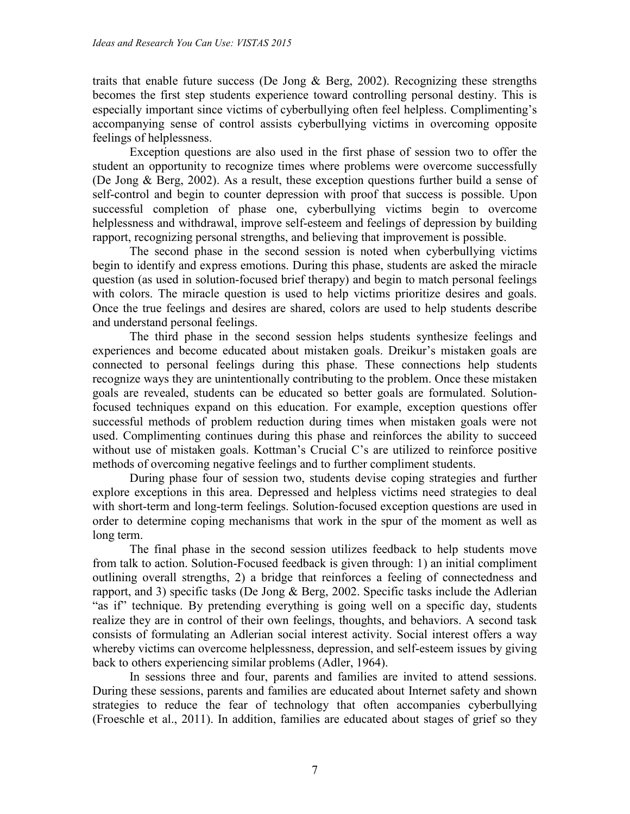traits that enable future success (De Jong  $&$  Berg, 2002). Recognizing these strengths becomes the first step students experience toward controlling personal destiny. This is especially important since victims of cyberbullying often feel helpless. Complimenting's accompanying sense of control assists cyberbullying victims in overcoming opposite feelings of helplessness.

Exception questions are also used in the first phase of session two to offer the student an opportunity to recognize times where problems were overcome successfully (De Jong & Berg, 2002). As a result, these exception questions further build a sense of self-control and begin to counter depression with proof that success is possible. Upon successful completion of phase one, cyberbullying victims begin to overcome helplessness and withdrawal, improve self-esteem and feelings of depression by building rapport, recognizing personal strengths, and believing that improvement is possible.

The second phase in the second session is noted when cyberbullying victims begin to identify and express emotions. During this phase, students are asked the miracle question (as used in solution-focused brief therapy) and begin to match personal feelings with colors. The miracle question is used to help victims prioritize desires and goals. Once the true feelings and desires are shared, colors are used to help students describe and understand personal feelings.

The third phase in the second session helps students synthesize feelings and experiences and become educated about mistaken goals. Dreikur's mistaken goals are connected to personal feelings during this phase. These connections help students recognize ways they are unintentionally contributing to the problem. Once these mistaken goals are revealed, students can be educated so better goals are formulated. Solutionfocused techniques expand on this education. For example, exception questions offer successful methods of problem reduction during times when mistaken goals were not used. Complimenting continues during this phase and reinforces the ability to succeed without use of mistaken goals. Kottman's Crucial C's are utilized to reinforce positive methods of overcoming negative feelings and to further compliment students.

During phase four of session two, students devise coping strategies and further explore exceptions in this area. Depressed and helpless victims need strategies to deal with short-term and long-term feelings. Solution-focused exception questions are used in order to determine coping mechanisms that work in the spur of the moment as well as long term.

The final phase in the second session utilizes feedback to help students move from talk to action. Solution-Focused feedback is given through: 1) an initial compliment outlining overall strengths, 2) a bridge that reinforces a feeling of connectedness and rapport, and 3) specific tasks (De Jong & Berg, 2002. Specific tasks include the Adlerian "as if" technique. By pretending everything is going well on a specific day, students realize they are in control of their own feelings, thoughts, and behaviors. A second task consists of formulating an Adlerian social interest activity. Social interest offers a way whereby victims can overcome helplessness, depression, and self-esteem issues by giving back to others experiencing similar problems (Adler, 1964).

In sessions three and four, parents and families are invited to attend sessions. During these sessions, parents and families are educated about Internet safety and shown strategies to reduce the fear of technology that often accompanies cyberbullying (Froeschle et al., 2011). In addition, families are educated about stages of grief so they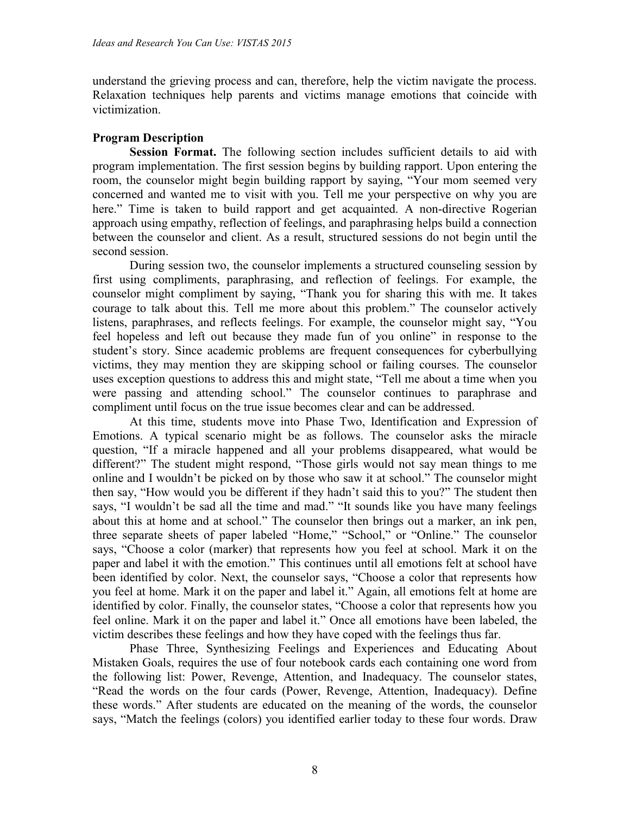understand the grieving process and can, therefore, help the victim navigate the process. Relaxation techniques help parents and victims manage emotions that coincide with victimization.

### **Program Description**

**Session Format.** The following section includes sufficient details to aid with program implementation. The first session begins by building rapport. Upon entering the room, the counselor might begin building rapport by saying, "Your mom seemed very concerned and wanted me to visit with you. Tell me your perspective on why you are here." Time is taken to build rapport and get acquainted. A non-directive Rogerian approach using empathy, reflection of feelings, and paraphrasing helps build a connection between the counselor and client. As a result, structured sessions do not begin until the second session.

During session two, the counselor implements a structured counseling session by first using compliments, paraphrasing, and reflection of feelings. For example, the counselor might compliment by saying, "Thank you for sharing this with me. It takes courage to talk about this. Tell me more about this problem." The counselor actively listens, paraphrases, and reflects feelings. For example, the counselor might say, "You feel hopeless and left out because they made fun of you online" in response to the student's story. Since academic problems are frequent consequences for cyberbullying victims, they may mention they are skipping school or failing courses. The counselor uses exception questions to address this and might state, "Tell me about a time when you were passing and attending school." The counselor continues to paraphrase and compliment until focus on the true issue becomes clear and can be addressed.

At this time, students move into Phase Two, Identification and Expression of Emotions. A typical scenario might be as follows. The counselor asks the miracle question, "If a miracle happened and all your problems disappeared, what would be different?" The student might respond, "Those girls would not say mean things to me online and I wouldn't be picked on by those who saw it at school." The counselor might then say, "How would you be different if they hadn't said this to you?" The student then says, "I wouldn't be sad all the time and mad." "It sounds like you have many feelings about this at home and at school." The counselor then brings out a marker, an ink pen, three separate sheets of paper labeled "Home," "School," or "Online." The counselor says, "Choose a color (marker) that represents how you feel at school. Mark it on the paper and label it with the emotion." This continues until all emotions felt at school have been identified by color. Next, the counselor says, "Choose a color that represents how you feel at home. Mark it on the paper and label it." Again, all emotions felt at home are identified by color. Finally, the counselor states, "Choose a color that represents how you feel online. Mark it on the paper and label it." Once all emotions have been labeled, the victim describes these feelings and how they have coped with the feelings thus far.

Phase Three, Synthesizing Feelings and Experiences and Educating About Mistaken Goals, requires the use of four notebook cards each containing one word from the following list: Power, Revenge, Attention, and Inadequacy. The counselor states, "Read the words on the four cards (Power, Revenge, Attention, Inadequacy). Define these words." After students are educated on the meaning of the words, the counselor says, "Match the feelings (colors) you identified earlier today to these four words. Draw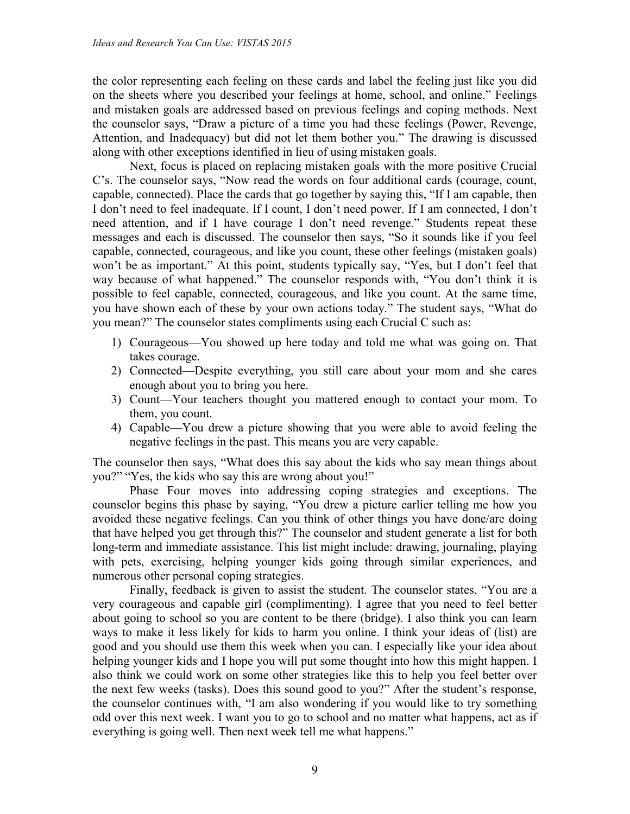the color representing each feeling on these cards and label the feeling just like you did on the sheets where you described your feelings at home, school, and online." Feelings and mistaken goals are addressed based on previous feelings and coping methods. Next the counselor says, "Draw a picture of a time you had these feelings (Power, Revenge, Attention, and Inadequacy) but did not let them bother you." The drawing is discussed along with other exceptions identified in lieu of using mistaken goals.

Next, focus is placed on replacing mistaken goals with the more positive Crucial C's. The counselor says, "Now read the words on four additional cards (courage, count, capable, connected). Place the cards that go together by saying this, "If I am capable, then I don't need to feel inadequate. If I count, I don't need power. If I am connected, I don't need attention, and if I have courage I don't need revenge." Students repeat these messages and each is discussed. The counselor then says, "So it sounds like if you feel capable, connected, courageous, and like you count, these other feelings (mistaken goals) won't be as important." At this point, students typically say, "Yes, but I don't feel that way because of what happened." The counselor responds with, "You don't think it is possible to feel capable, connected, courageous, and like you count. At the same time, you have shown each of these by your own actions today." The student says, "What do you mean?" The counselor states compliments using each Crucial C such as:

- 1) Courageous—You showed up here today and told me what was going on. That takes courage.
- 2) Connected—Despite everything, you still care about your mom and she cares enough about you to bring you here.
- 3) Count—Your teachers thought you mattered enough to contact your mom. To them, you count.
- 4) Capable—You drew a picture showing that you were able to avoid feeling the negative feelings in the past. This means you are very capable.

The counselor then says, "What does this say about the kids who say mean things about you?" "Yes, the kids who say this are wrong about you!"

Phase Four moves into addressing coping strategies and exceptions. The counselor begins this phase by saying, "You drew a picture earlier telling me how you avoided these negative feelings. Can you think of other things you have done/are doing that have helped you get through this?" The counselor and student generate a list for both long-term and immediate assistance. This list might include: drawing, journaling, playing with pets, exercising, helping younger kids going through similar experiences, and numerous other personal coping strategies.

Finally, feedback is given to assist the student. The counselor states, "You are a very courageous and capable girl (complimenting). I agree that you need to feel better about going to school so you are content to be there (bridge). I also think you can learn ways to make it less likely for kids to harm you online. I think your ideas of (list) are good and you should use them this week when you can. I especially like your idea about helping younger kids and I hope you will put some thought into how this might happen. I also think we could work on some other strategies like this to help you feel better over the next few weeks (tasks). Does this sound good to you?" After the student's response, the counselor continues with, "I am also wondering if you would like to try something odd over this next week. I want you to go to school and no matter what happens, act as if everything is going well. Then next week tell me what happens."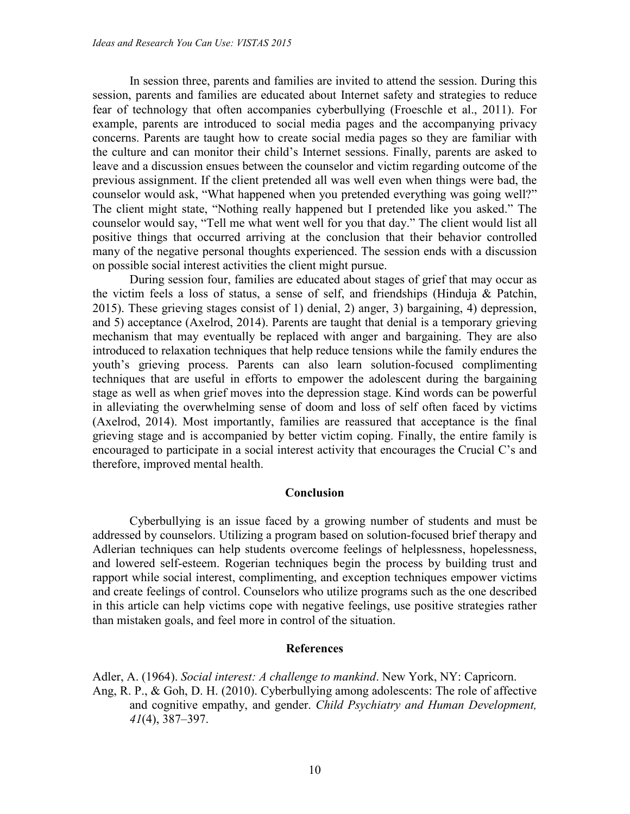In session three, parents and families are invited to attend the session. During this session, parents and families are educated about Internet safety and strategies to reduce fear of technology that often accompanies cyberbullying (Froeschle et al., 2011). For example, parents are introduced to social media pages and the accompanying privacy concerns. Parents are taught how to create social media pages so they are familiar with the culture and can monitor their child's Internet sessions. Finally, parents are asked to leave and a discussion ensues between the counselor and victim regarding outcome of the previous assignment. If the client pretended all was well even when things were bad, the counselor would ask, "What happened when you pretended everything was going well?" The client might state, "Nothing really happened but I pretended like you asked." The counselor would say, "Tell me what went well for you that day." The client would list all positive things that occurred arriving at the conclusion that their behavior controlled many of the negative personal thoughts experienced. The session ends with a discussion on possible social interest activities the client might pursue.

During session four, families are educated about stages of grief that may occur as the victim feels a loss of status, a sense of self, and friendships (Hinduja & Patchin, 2015). These grieving stages consist of 1) denial, 2) anger, 3) bargaining, 4) depression, and 5) acceptance (Axelrod, 2014). Parents are taught that denial is a temporary grieving mechanism that may eventually be replaced with anger and bargaining. They are also introduced to relaxation techniques that help reduce tensions while the family endures the youth's grieving process. Parents can also learn solution-focused complimenting techniques that are useful in efforts to empower the adolescent during the bargaining stage as well as when grief moves into the depression stage. Kind words can be powerful in alleviating the overwhelming sense of doom and loss of self often faced by victims (Axelrod, 2014). Most importantly, families are reassured that acceptance is the final grieving stage and is accompanied by better victim coping. Finally, the entire family is encouraged to participate in a social interest activity that encourages the Crucial C's and therefore, improved mental health.

#### **Conclusion**

Cyberbullying is an issue faced by a growing number of students and must be addressed by counselors. Utilizing a program based on solution-focused brief therapy and Adlerian techniques can help students overcome feelings of helplessness, hopelessness, and lowered self-esteem. Rogerian techniques begin the process by building trust and rapport while social interest, complimenting, and exception techniques empower victims and create feelings of control. Counselors who utilize programs such as the one described in this article can help victims cope with negative feelings, use positive strategies rather than mistaken goals, and feel more in control of the situation.

#### **References**

Adler, A. (1964). *Social interest: A challenge to mankind*. New York, NY: Capricorn. Ang, R. P., & Goh, D. H. (2010). Cyberbullying among adolescents: The role of affective and cognitive empathy, and gender. *Child Psychiatry and Human Development, 41*(4), 387–397.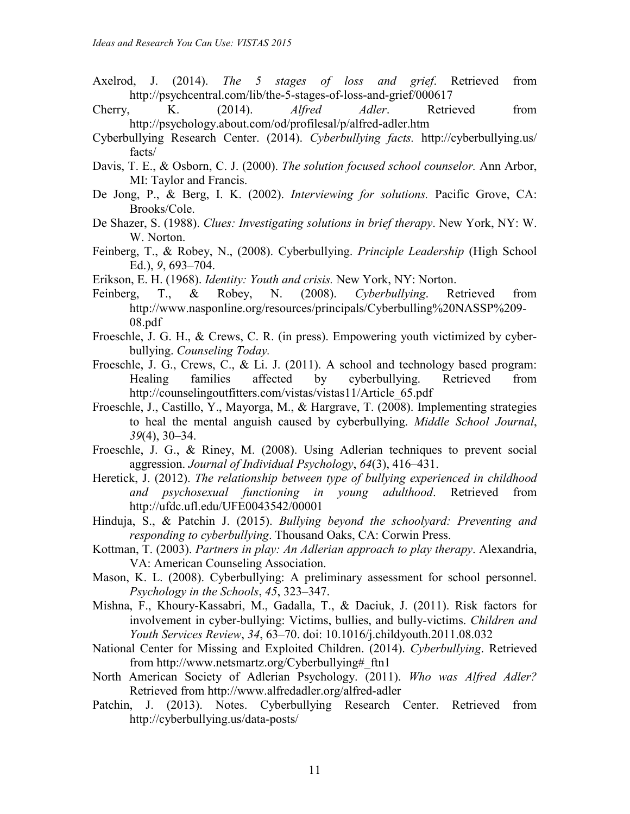- Axelrod, J. (2014). *The 5 stages of loss and grief*. Retrieved from http://psychcentral.com/lib/the-5-stages-of-loss-and-grief/000617
- Cherry, K. (2014). *Alfred Adler*. Retrieved from http://psychology.about.com/od/profilesal/p/alfred-adler.htm
- Cyberbullying Research Center. (2014). *Cyberbullying facts.* http://cyberbullying.us/ facts/
- Davis, T. E., & Osborn, C. J. (2000). *The solution focused school counselor.* Ann Arbor, MI: Taylor and Francis.
- De Jong, P., & Berg, I. K. (2002). *Interviewing for solutions.* Pacific Grove, CA: Brooks/Cole.
- De Shazer, S. (1988). *Clues: Investigating solutions in brief therapy*. New York, NY: W. W. Norton.
- Feinberg, T., & Robey, N., (2008). Cyberbullying. *Principle Leadership* (High School Ed.), *9*, 693–704.
- Erikson, E. H. (1968). *Identity: Youth and crisis.* New York, NY: Norton.
- Feinberg, T., & Robey, N. (2008). *Cyberbullying*. Retrieved from http://www.nasponline.org/resources/principals/Cyberbulling%20NASSP%209- 08.pdf
- Froeschle, J. G. H., & Crews, C. R. (in press). Empowering youth victimized by cyberbullying. *Counseling Today.*
- Froeschle, J. G., Crews, C., & Li. J. (2011). A school and technology based program: Healing families affected by cyberbullying. Retrieved from http://counselingoutfitters.com/vistas/vistas11/Article\_65.pdf
- Froeschle, J., Castillo, Y., Mayorga, M., & Hargrave, T. (2008). Implementing strategies to heal the mental anguish caused by cyberbullying. *Middle School Journal*, *39*(4), 30–34.
- Froeschle, J. G., & Riney, M. (2008). Using Adlerian techniques to prevent social aggression. *Journal of Individual Psychology*, *64*(3), 416–431.
- Heretick, J. (2012). *The relationship between type of bullying experienced in childhood and psychosexual functioning in young adulthood*. Retrieved from http://ufdc.ufl.edu/UFE0043542/00001
- Hinduja, S., & Patchin J. (2015). *Bullying beyond the schoolyard: Preventing and responding to cyberbullying*. Thousand Oaks, CA: Corwin Press.
- Kottman, T. (2003). *Partners in play: An Adlerian approach to play therapy*. Alexandria, VA: American Counseling Association.
- Mason, K. L. (2008). Cyberbullying: A preliminary assessment for school personnel. *Psychology in the Schools*, *45*, 323–347.
- Mishna, F., Khoury-Kassabri, M., Gadalla, T., & Daciuk, J. (2011). Risk factors for involvement in cyber-bullying: Victims, bullies, and bully-victims. *Children and Youth Services Review*, *34*, 63–70. doi: 10.1016/j.childyouth.2011.08.032
- National Center for Missing and Exploited Children. (2014). *Cyberbullying*. Retrieved from http://www.netsmartz.org/Cyberbullying# ftn1
- North American Society of Adlerian Psychology. (2011). *Who was Alfred Adler?* Retrieved from http://www.alfredadler.org/alfred-adler
- Patchin, J. (2013). Notes. Cyberbullying Research Center. Retrieved from http://cyberbullying.us/data-posts/